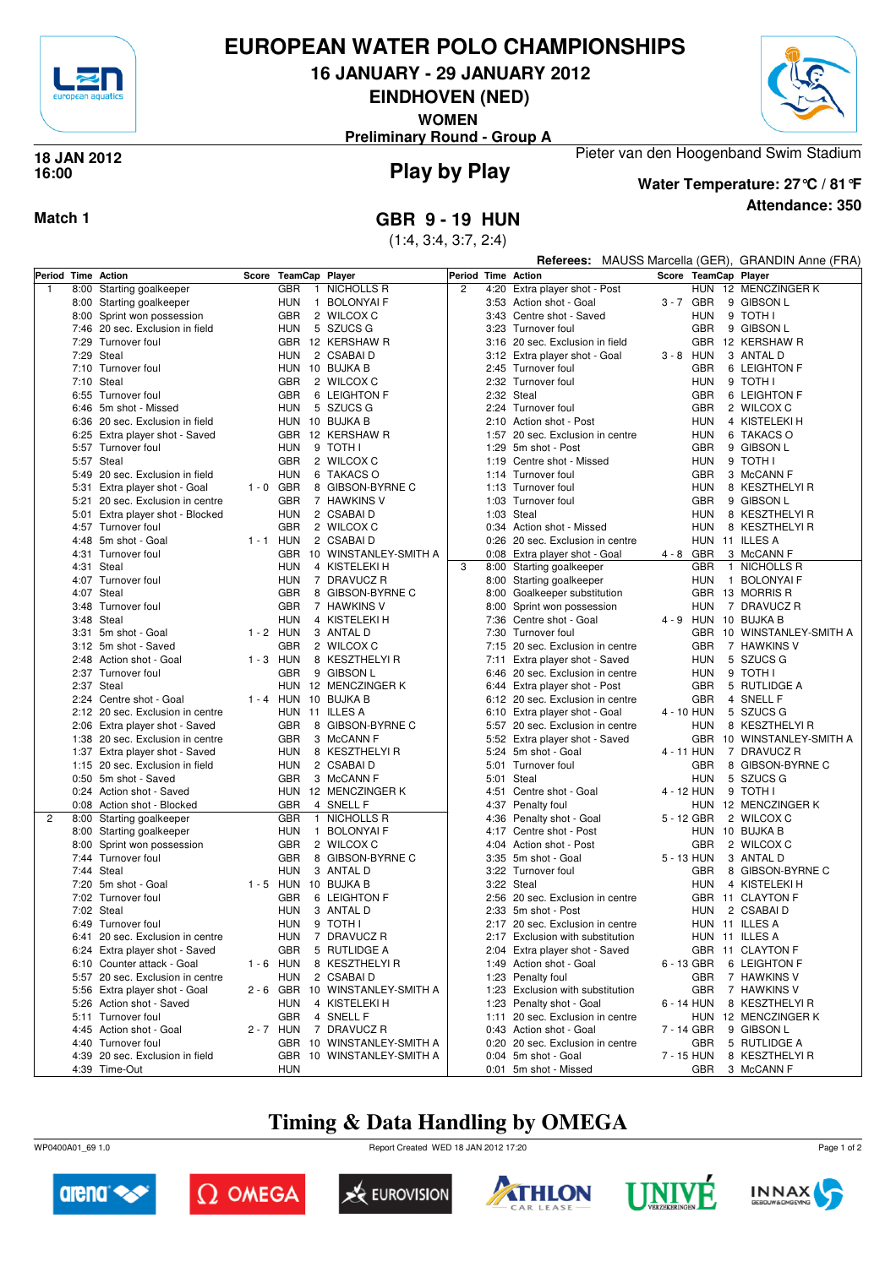

# **EUROPEAN WATER POLO CHAMPIONSHIPS**

**16 JANUARY - 29 JANUARY 2012**

**EINDHOVEN (NED)**

**WOMEN**

**Preliminary Round - Group A**



### **Play by Play 18 JAN 2012 16:00**



**Attendance: 350 Water Temperature: 27°C / 81°F**

Pieter van den Hoogenband Swim Stadium

**Match 1 GBR 9 - 19 HUN**

(1:4, 3:4, 3:7, 2:4)

|   |                                             |             |                      |   |                            |                    |                                                                    | Referees: MAUSS Marcella (GER), GRANDIN Anne (FRA) |             |                                     |  |
|---|---------------------------------------------|-------------|----------------------|---|----------------------------|--------------------|--------------------------------------------------------------------|----------------------------------------------------|-------------|-------------------------------------|--|
|   | Period Time Action                          |             | Score TeamCap Player |   |                            | Period Time Action |                                                                    |                                                    |             | Score TeamCap Player                |  |
| 1 | 8:00 Starting goalkeeper                    |             | <b>GBR</b>           |   | 1 NICHOLLS R               | $\overline{c}$     | 4:20 Extra player shot - Post                                      |                                                    |             | HUN 12 MENCZINGER K                 |  |
|   | 8:00 Starting goalkeeper                    |             | HUN                  |   | 1 BOLONYAI F               |                    | 3:53 Action shot - Goal                                            |                                                    | 3-7 GBR     | 9 GIBSON L                          |  |
|   | 8:00 Sprint won possession                  |             | <b>GBR</b>           |   | 2 WILCOX C                 |                    | 3:43 Centre shot - Saved                                           |                                                    | <b>HUN</b>  | 9 TOTH I                            |  |
|   | 7:46 20 sec. Exclusion in field             |             | <b>HUN</b>           |   | 5 SZUCS G                  |                    | 3:23 Turnover foul                                                 |                                                    | <b>GBR</b>  | 9 GIBSON L                          |  |
|   | 7:29 Turnover foul                          |             |                      |   | GBR 12 KERSHAW R           |                    | 3:16 20 sec. Exclusion in field                                    |                                                    |             | GBR 12 KERSHAW R                    |  |
|   | 7:29 Steal                                  |             | <b>HUN</b>           |   | 2 CSABAI D                 |                    | 3:12 Extra player shot - Goal                                      |                                                    | $3 - 8$ HUN | 3 ANTAL D                           |  |
|   | 7:10 Turnover foul                          |             |                      |   | HUN 10 BUJKA B             |                    | 2:45 Turnover foul                                                 |                                                    | <b>GBR</b>  | 6 LEIGHTON F                        |  |
|   | 7:10 Steal                                  |             | <b>GBR</b>           |   | 2 WILCOX C                 |                    | 2:32 Turnover foul                                                 |                                                    | <b>HUN</b>  | 9 TOTH I                            |  |
|   | 6:55 Turnover foul                          |             | <b>GBR</b>           |   | 6 LEIGHTON F               |                    | 2:32 Steal                                                         |                                                    | <b>GBR</b>  | 6 LEIGHTON F                        |  |
|   | 6:46 5m shot - Missed                       |             | <b>HUN</b>           |   | 5 SZUCS G                  |                    | 2:24 Turnover foul                                                 |                                                    | <b>GBR</b>  | 2 WILCOX C                          |  |
|   | 6:36 20 sec. Exclusion in field             |             |                      |   | HUN 10 BUJKA B             |                    | 2:10 Action shot - Post                                            |                                                    | <b>HUN</b>  | 4 KISTELEKI H                       |  |
|   | 6:25 Extra player shot - Saved              |             |                      |   | GBR 12 KERSHAW R           |                    | 1:57 20 sec. Exclusion in centre                                   |                                                    | <b>HUN</b>  | 6 TAKACS O                          |  |
|   | 5:57 Turnover foul                          |             | <b>HUN</b>           |   | 9 TOTH I                   |                    | 1:29 5m shot - Post                                                |                                                    | <b>GBR</b>  | 9 GIBSON L                          |  |
|   | 5:57 Steal                                  |             | <b>GBR</b>           |   | 2 WILCOX C                 |                    | 1:19 Centre shot - Missed                                          |                                                    | HUN         | 9 TOTH I                            |  |
|   | 5:49 20 sec. Exclusion in field             |             | <b>HUN</b>           |   | 6 TAKACS O                 |                    | 1:14 Turnover foul                                                 |                                                    | <b>GBR</b>  | 3 McCANN F                          |  |
|   | 5:31 Extra player shot - Goal               | $1 - 0$ GBR |                      |   | 8 GIBSON-BYRNE C           |                    | 1:13 Turnover foul                                                 |                                                    | HUN         | 8 KESZTHELYI R                      |  |
|   | 5:21 20 sec. Exclusion in centre            |             | <b>GBR</b>           |   | 7 HAWKINS V                |                    | 1:03 Turnover foul                                                 |                                                    | <b>GBR</b>  | 9 GIBSON L                          |  |
|   | 5:01 Extra player shot - Blocked            |             | <b>HUN</b>           |   | 2 CSABAI D                 |                    | 1:03 Steal                                                         |                                                    | HUN         | 8 KESZTHELYI R                      |  |
|   | 4:57 Turnover foul                          |             | <b>GBR</b>           |   | 2 WILCOX C                 |                    | 0:34 Action shot - Missed                                          |                                                    | <b>HUN</b>  | 8 KESZTHELYI R                      |  |
|   | 4:48 5m shot - Goal                         | $1 - 1$ HUN |                      |   | 2 CSABAI D                 |                    | 0:26 20 sec. Exclusion in centre                                   |                                                    |             | HUN 11 ILLES A                      |  |
|   | 4:31 Turnover foul                          |             |                      |   | GBR 10 WINSTANLEY-SMITH A  |                    | 0:08 Extra player shot - Goal                                      |                                                    | 4-8 GBR     | 3 McCANN F                          |  |
|   | 4:31 Steal                                  |             | <b>HUN</b>           |   | 4 KISTELEKI H              | 3                  | 8:00 Starting goalkeeper                                           |                                                    | <b>GBR</b>  | 1 NICHOLLS R                        |  |
|   | 4:07 Turnover foul                          |             | HUN                  |   | 7 DRAVUCZ R                |                    | 8:00 Starting goalkeeper                                           |                                                    | HUN         | 1 BOLONYAI F                        |  |
|   | 4:07 Steal                                  |             | <b>GBR</b>           |   | 8 GIBSON-BYRNE C           |                    | 8:00 Goalkeeper substitution                                       |                                                    |             | GBR 13 MORRIS R                     |  |
|   | 3:48 Turnover foul                          |             | <b>GBR</b>           |   | 7 HAWKINS V                |                    | 8:00 Sprint won possession                                         |                                                    | <b>HUN</b>  | 7 DRAVUCZ R<br>4 - 9 HUN 10 BUJKA B |  |
|   | 3:48 Steal                                  | $1 - 2$ HUN | <b>HUN</b>           |   | 4 KISTELEKI H<br>3 ANTAL D |                    | 7:36 Centre shot - Goal<br>7:30 Turnover foul                      |                                                    |             | GBR 10 WINSTANLEY-SMITH A           |  |
|   | 3:31 5m shot - Goal<br>3:12 5m shot - Saved |             | <b>GBR</b>           |   | 2 WILCOX C                 |                    |                                                                    |                                                    | <b>GBR</b>  | 7 HAWKINS V                         |  |
|   | 2:48 Action shot - Goal                     | $1 - 3$ HUN |                      |   | 8 KESZTHELYI R             |                    | 7:15 20 sec. Exclusion in centre<br>7:11 Extra player shot - Saved |                                                    | HUN         | 5 SZUCS G                           |  |
|   | 2:37 Turnover foul                          |             | <b>GBR</b>           |   | 9 GIBSON L                 |                    | 6:46 20 sec. Exclusion in centre                                   |                                                    | HUN         | 9 TOTH I                            |  |
|   | 2:37 Steal                                  |             |                      |   | HUN 12 MENCZINGER K        |                    | 6:44 Extra player shot - Post                                      |                                                    | <b>GBR</b>  | 5 RUTLIDGE A                        |  |
|   | 2:24 Centre shot - Goal                     | $1 - 4$ HUN |                      |   | 10 BUJKA B                 |                    | 6:12 20 sec. Exclusion in centre                                   |                                                    | <b>GBR</b>  | 4 SNELL F                           |  |
|   | 2:12 20 sec. Exclusion in centre            |             |                      |   | HUN 11 ILLES A             |                    | 6:10 Extra player shot - Goal                                      |                                                    | 4 - 10 HUN  | 5 SZUCS G                           |  |
|   | 2:06 Extra player shot - Saved              |             | <b>GBR</b>           |   | 8 GIBSON-BYRNE C           |                    | 5:57 20 sec. Exclusion in centre                                   |                                                    | <b>HUN</b>  | 8 KESZTHELYI R                      |  |
|   | 1:38 20 sec. Exclusion in centre            |             | <b>GBR</b>           |   | 3 McCANN F                 |                    | 5:52 Extra player shot - Saved                                     |                                                    |             | GBR 10 WINSTANLEY-SMITH A           |  |
|   | 1:37 Extra player shot - Saved              |             | <b>HUN</b>           |   | 8 KESZTHELYI R             |                    | 5:24 5m shot - Goal                                                |                                                    | 4 - 11 HUN  | 7 DRAVUCZ R                         |  |
|   | 1:15 20 sec. Exclusion in field             |             | HUN                  |   | 2 CSABAI D                 |                    | 5:01 Turnover foul                                                 |                                                    | <b>GBR</b>  | 8 GIBSON-BYRNE C                    |  |
|   | 0:50 5m shot - Saved                        |             | <b>GBR</b>           |   | 3 McCANN F                 |                    | 5:01 Steal                                                         |                                                    | <b>HUN</b>  | 5 SZUCS G                           |  |
|   | 0:24 Action shot - Saved                    |             |                      |   | HUN 12 MENCZINGER K        |                    | 4:51 Centre shot - Goal                                            |                                                    | 4 - 12 HUN  | 9 TOTH I                            |  |
|   | 0:08 Action shot - Blocked                  |             | <b>GBR</b>           |   | 4 SNELL F                  |                    | 4:37 Penalty foul                                                  |                                                    |             | HUN 12 MENCZINGER K                 |  |
| 2 | 8:00 Starting goalkeeper                    |             | <b>GBR</b>           | 1 | NICHOLLS R                 |                    | 4:36 Penalty shot - Goal                                           |                                                    | 5 - 12 GBR  | 2 WILCOX C                          |  |
|   | 8:00 Starting goalkeeper                    |             | <b>HUN</b>           |   | 1 BOLONYAI F               |                    | 4:17 Centre shot - Post                                            |                                                    |             | HUN 10 BUJKA B                      |  |
|   | 8:00 Sprint won possession                  |             | <b>GBR</b>           |   | 2 WILCOX C                 |                    | 4:04 Action shot - Post                                            |                                                    | <b>GBR</b>  | 2 WILCOX C                          |  |
|   | 7:44 Turnover foul                          |             | <b>GBR</b>           |   | 8 GIBSON-BYRNE C           |                    | 3:35 5m shot - Goal                                                |                                                    | 5 - 13 HUN  | 3 ANTAL D                           |  |
|   | 7:44 Steal                                  |             | HUN                  |   | 3 ANTAL D                  |                    | 3:22 Turnover foul                                                 |                                                    | GBR         | 8 GIBSON-BYRNE C                    |  |
|   | 7:20 5m shot - Goal                         | $1 - 5$ HUN |                      |   | 10 BUJKA B                 |                    | 3:22 Steal                                                         |                                                    | HUN         | 4 KISTELEKI H                       |  |
|   | 7:02 Turnover foul                          |             | <b>GBR</b>           |   | 6 LEIGHTON F               |                    | 2:56 20 sec. Exclusion in centre                                   |                                                    |             | GBR 11 CLAYTON F                    |  |
|   | 7:02 Steal                                  |             | <b>HUN</b>           |   | 3 ANTAL D                  |                    | 2:33 5m shot - Post                                                |                                                    | HUN         | 2 CSABAI D                          |  |
|   | 6:49 Turnover foul                          |             | HUN                  |   | 9 TOTH I                   |                    | 2:17 20 sec. Exclusion in centre                                   |                                                    |             | HUN 11 ILLES A                      |  |
|   | 6:41 20 sec. Exclusion in centre            |             | HUN                  |   | 7 DRAVUCZ R                |                    | 2:17 Exclusion with substitution                                   |                                                    |             | HUN 11 ILLES A                      |  |
|   | 6:24 Extra player shot - Saved              |             | GBR                  |   | 5 RUTLIDGE A               |                    | 2:04 Extra player shot - Saved                                     |                                                    |             | GBR 11 CLAYTON F                    |  |
|   | 6:10 Counter attack - Goal                  | $1 - 6$ HUN |                      |   | 8 KESZTHELYI R             |                    | 1:49 Action shot - Goal                                            |                                                    | 6 - 13 GBR  | 6 LEIGHTON F                        |  |
|   | 5:57 20 sec. Exclusion in centre            |             | HUN                  |   | 2 CSABAI D                 |                    | 1:23 Penalty foul                                                  |                                                    | GBR         | 7 HAWKINS V                         |  |
|   | 5:56 Extra player shot - Goal               | 2-6 GBR     |                      |   | 10 WINSTANLEY-SMITH A      |                    | 1:23 Exclusion with substitution                                   |                                                    | <b>GBR</b>  | 7 HAWKINS V                         |  |
|   | 5:26 Action shot - Saved                    |             | HUN                  |   | 4 KISTELEKI H              |                    | 1:23 Penalty shot - Goal                                           |                                                    | 6 - 14 HUN  | 8 KESZTHELYI R                      |  |
|   | 5:11 Turnover foul                          |             | GBR                  |   | 4 SNELL F                  |                    | 1:11 20 sec. Exclusion in centre                                   |                                                    |             | HUN 12 MENCZINGER K                 |  |
|   | 4:45 Action shot - Goal                     | 2 - 7 HUN   |                      |   | 7 DRAVUCZ R                |                    | 0:43 Action shot - Goal                                            |                                                    | 7 - 14 GBR  | 9 GIBSON L                          |  |
|   | 4:40 Turnover foul                          |             | <b>GBR</b>           |   | 10 WINSTANLEY-SMITH A      |                    | 0:20 20 sec. Exclusion in centre                                   |                                                    | GBR         | 5 RUTLIDGE A                        |  |
|   | 4:39 20 sec. Exclusion in field             |             |                      |   | GBR 10 WINSTANLEY-SMITH A  |                    | 0:04 5m shot - Goal                                                |                                                    | 7 - 15 HUN  | 8 KESZTHELYI R                      |  |
|   | 4:39 Time-Out                               |             | <b>HUN</b>           |   |                            |                    | 0:01 5m shot - Missed                                              |                                                    | GBR         | 3 McCANN F                          |  |
|   |                                             |             |                      |   |                            |                    |                                                                    |                                                    |             |                                     |  |

# **Timing & Data Handling by OMEGA**

WP0400A01\_69 1.0 Report Created WED 18 JAN 2012 17:20













Page 1 of 2